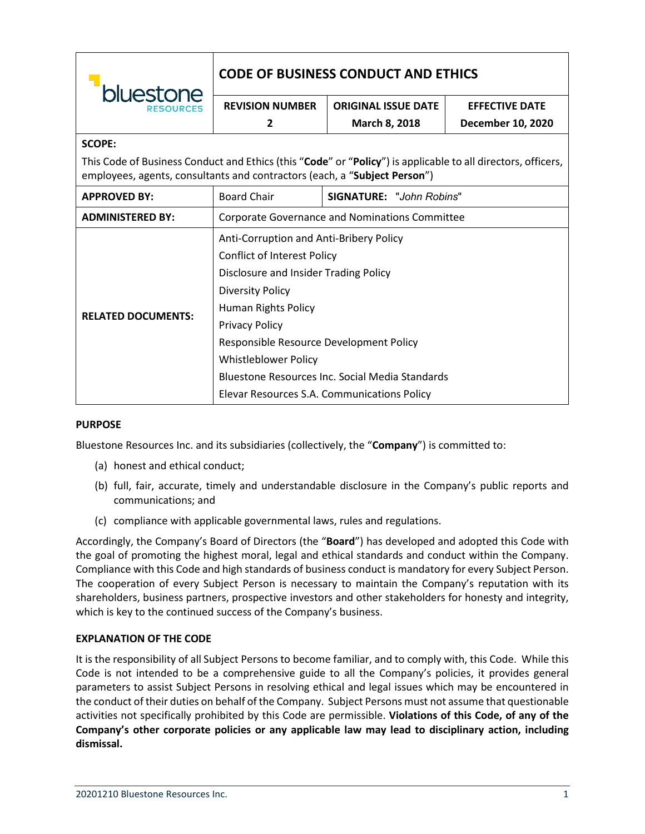| bluestone                                                                                                                                                                                 | <b>CODE OF BUSINESS CONDUCT AND ETHICS</b>      |                                 |                       |
|-------------------------------------------------------------------------------------------------------------------------------------------------------------------------------------------|-------------------------------------------------|---------------------------------|-----------------------|
|                                                                                                                                                                                           | <b>REVISION NUMBER</b>                          | <b>ORIGINAL ISSUE DATE</b>      | <b>EFFECTIVE DATE</b> |
|                                                                                                                                                                                           | 2                                               | March 8, 2018                   | December 10, 2020     |
| <b>SCOPE:</b>                                                                                                                                                                             |                                                 |                                 |                       |
| This Code of Business Conduct and Ethics (this "Code" or "Policy") is applicable to all directors, officers,<br>employees, agents, consultants and contractors (each, a "Subject Person") |                                                 |                                 |                       |
| <b>APPROVED BY:</b>                                                                                                                                                                       | <b>Board Chair</b>                              | <b>SIGNATURE: "John Robins"</b> |                       |
| <b>ADMINISTERED BY:</b>                                                                                                                                                                   | Corporate Governance and Nominations Committee  |                                 |                       |
| <b>RELATED DOCUMENTS:</b>                                                                                                                                                                 | Anti-Corruption and Anti-Bribery Policy         |                                 |                       |
|                                                                                                                                                                                           | <b>Conflict of Interest Policy</b>              |                                 |                       |
|                                                                                                                                                                                           | Disclosure and Insider Trading Policy           |                                 |                       |
|                                                                                                                                                                                           | <b>Diversity Policy</b>                         |                                 |                       |
|                                                                                                                                                                                           | Human Rights Policy                             |                                 |                       |
|                                                                                                                                                                                           | <b>Privacy Policy</b>                           |                                 |                       |
|                                                                                                                                                                                           | Responsible Resource Development Policy         |                                 |                       |
|                                                                                                                                                                                           | Whistleblower Policy                            |                                 |                       |
|                                                                                                                                                                                           | Bluestone Resources Inc. Social Media Standards |                                 |                       |
|                                                                                                                                                                                           | Elevar Resources S.A. Communications Policy     |                                 |                       |

### **PURPOSE**

Bluestone Resources Inc. and its subsidiaries (collectively, the "**Company**") is committed to:

- (a) honest and ethical conduct;
- (b) full, fair, accurate, timely and understandable disclosure in the Company's public reports and communications; and
- (c) compliance with applicable governmental laws, rules and regulations.

Accordingly, the Company's Board of Directors (the "**Board**") has developed and adopted this Code with the goal of promoting the highest moral, legal and ethical standards and conduct within the Company. Compliance with this Code and high standards of business conduct is mandatory for every Subject Person. The cooperation of every Subject Person is necessary to maintain the Company's reputation with its shareholders, business partners, prospective investors and other stakeholders for honesty and integrity, which is key to the continued success of the Company's business.

#### **EXPLANATION OF THE CODE**

It is the responsibility of all Subject Persons to become familiar, and to comply with, this Code. While this Code is not intended to be a comprehensive guide to all the Company's policies, it provides general parameters to assist Subject Persons in resolving ethical and legal issues which may be encountered in the conduct of their duties on behalf of the Company. Subject Persons must not assume that questionable activities not specifically prohibited by this Code are permissible. **Violations of this Code, of any of the Company's other corporate policies or any applicable law may lead to disciplinary action, including dismissal.**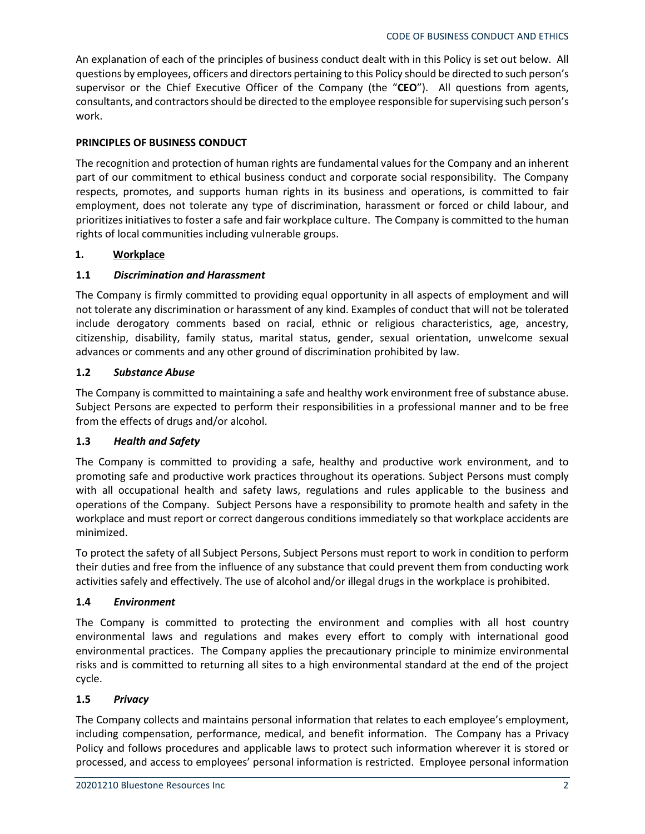An explanation of each of the principles of business conduct dealt with in this Policy is set out below. All questions by employees, officers and directors pertaining to this Policy should be directed to such person's supervisor or the Chief Executive Officer of the Company (the "**CEO**"). All questions from agents, consultants, and contractors should be directed to the employee responsible for supervising such person's work.

## **PRINCIPLES OF BUSINESS CONDUCT**

The recognition and protection of human rights are fundamental values for the Company and an inherent part of our commitment to ethical business conduct and corporate social responsibility. The Company respects, promotes, and supports human rights in its business and operations, is committed to fair employment, does not tolerate any type of discrimination, harassment or forced or child labour, and prioritizes initiatives to foster a safe and fair workplace culture. The Company is committed to the human rights of local communities including vulnerable groups.

## **1. Workplace**

## **1.1** *Discrimination and Harassment*

The Company is firmly committed to providing equal opportunity in all aspects of employment and will not tolerate any discrimination or harassment of any kind. Examples of conduct that will not be tolerated include derogatory comments based on racial, ethnic or religious characteristics, age, ancestry, citizenship, disability, family status, marital status, gender, sexual orientation, unwelcome sexual advances or comments and any other ground of discrimination prohibited by law.

### **1.2** *Substance Abuse*

The Company is committed to maintaining a safe and healthy work environment free of substance abuse. Subject Persons are expected to perform their responsibilities in a professional manner and to be free from the effects of drugs and/or alcohol.

### **1.3** *Health and Safety*

The Company is committed to providing a safe, healthy and productive work environment, and to promoting safe and productive work practices throughout its operations. Subject Persons must comply with all occupational health and safety laws, regulations and rules applicable to the business and operations of the Company. Subject Persons have a responsibility to promote health and safety in the workplace and must report or correct dangerous conditions immediately so that workplace accidents are minimized.

To protect the safety of all Subject Persons, Subject Persons must report to work in condition to perform their duties and free from the influence of any substance that could prevent them from conducting work activities safely and effectively. The use of alcohol and/or illegal drugs in the workplace is prohibited.

### **1.4** *Environment*

The Company is committed to protecting the environment and complies with all host country environmental laws and regulations and makes every effort to comply with international good environmental practices. The Company applies the precautionary principle to minimize environmental risks and is committed to returning all sites to a high environmental standard at the end of the project cycle.

### **1.5** *Privacy*

The Company collects and maintains personal information that relates to each employee's employment, including compensation, performance, medical, and benefit information. The Company has a Privacy Policy and follows procedures and applicable laws to protect such information wherever it is stored or processed, and access to employees' personal information is restricted. Employee personal information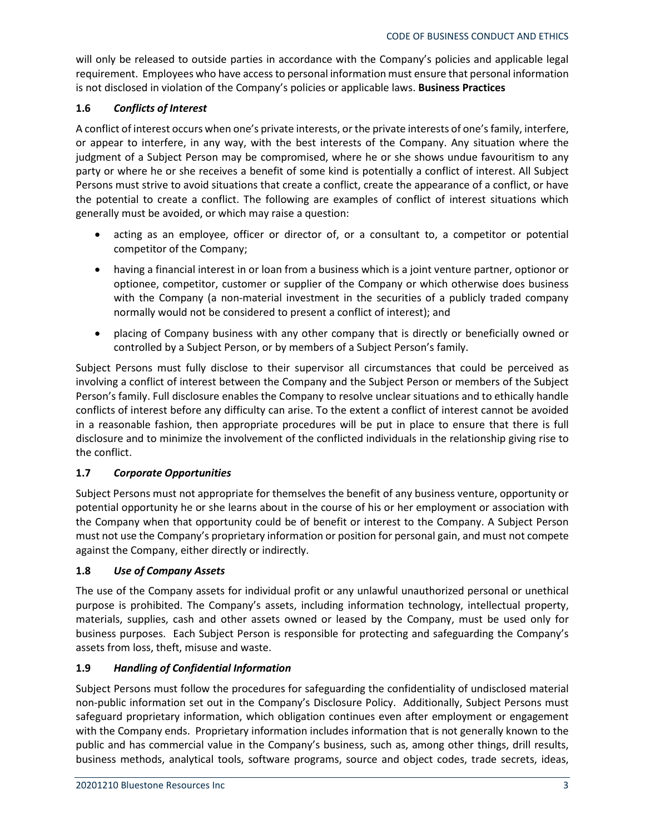will only be released to outside parties in accordance with the Company's policies and applicable legal requirement. Employees who have access to personal information must ensure that personal information is not disclosed in violation of the Company's policies or applicable laws. **Business Practices**

## **1.6** *Conflicts of Interest*

A conflict of interest occurs when one's private interests, or the private interests of one's family, interfere, or appear to interfere, in any way, with the best interests of the Company. Any situation where the judgment of a Subject Person may be compromised, where he or she shows undue favouritism to any party or where he or she receives a benefit of some kind is potentially a conflict of interest. All Subject Persons must strive to avoid situations that create a conflict, create the appearance of a conflict, or have the potential to create a conflict. The following are examples of conflict of interest situations which generally must be avoided, or which may raise a question:

- acting as an employee, officer or director of, or a consultant to, a competitor or potential competitor of the Company;
- having a financial interest in or loan from a business which is a joint venture partner, optionor or optionee, competitor, customer or supplier of the Company or which otherwise does business with the Company (a non-material investment in the securities of a publicly traded company normally would not be considered to present a conflict of interest); and
- placing of Company business with any other company that is directly or beneficially owned or controlled by a Subject Person, or by members of a Subject Person's family.

Subject Persons must fully disclose to their supervisor all circumstances that could be perceived as involving a conflict of interest between the Company and the Subject Person or members of the Subject Person's family. Full disclosure enables the Company to resolve unclear situations and to ethically handle conflicts of interest before any difficulty can arise. To the extent a conflict of interest cannot be avoided in a reasonable fashion, then appropriate procedures will be put in place to ensure that there is full disclosure and to minimize the involvement of the conflicted individuals in the relationship giving rise to the conflict.

## **1.7** *Corporate Opportunities*

Subject Persons must not appropriate for themselves the benefit of any business venture, opportunity or potential opportunity he or she learns about in the course of his or her employment or association with the Company when that opportunity could be of benefit or interest to the Company. A Subject Person must not use the Company's proprietary information or position for personal gain, and must not compete against the Company, either directly or indirectly.

## **1.8** *Use of Company Assets*

The use of the Company assets for individual profit or any unlawful unauthorized personal or unethical purpose is prohibited. The Company's assets, including information technology, intellectual property, materials, supplies, cash and other assets owned or leased by the Company, must be used only for business purposes. Each Subject Person is responsible for protecting and safeguarding the Company's assets from loss, theft, misuse and waste.

## **1.9** *Handling of Confidential Information*

Subject Persons must follow the procedures for safeguarding the confidentiality of undisclosed material non-public information set out in the Company's Disclosure Policy. Additionally, Subject Persons must safeguard proprietary information, which obligation continues even after employment or engagement with the Company ends. Proprietary information includes information that is not generally known to the public and has commercial value in the Company's business, such as, among other things, drill results, business methods, analytical tools, software programs, source and object codes, trade secrets, ideas,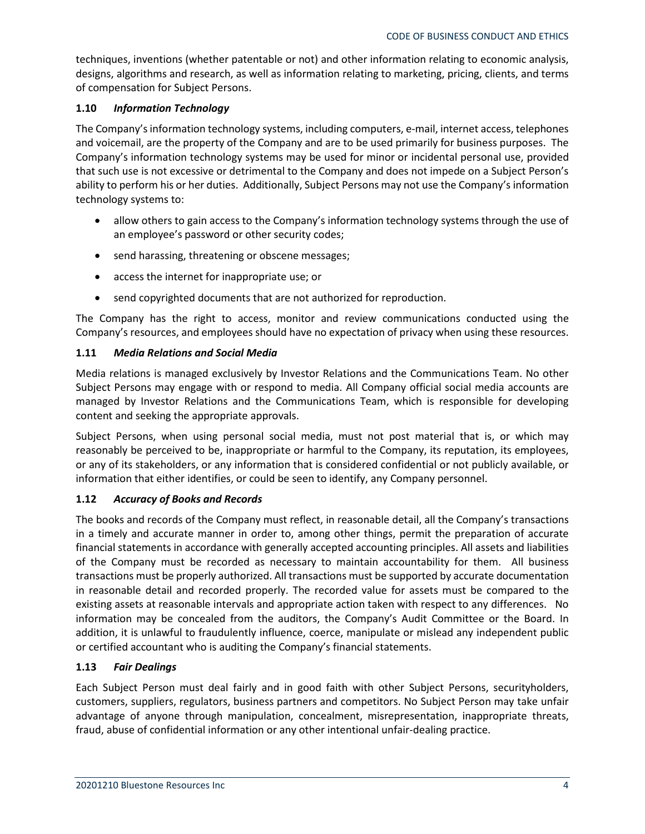techniques, inventions (whether patentable or not) and other information relating to economic analysis, designs, algorithms and research, as well as information relating to marketing, pricing, clients, and terms of compensation for Subject Persons.

## **1.10** *Information Technology*

The Company's information technology systems, including computers, e-mail, internet access, telephones and voicemail, are the property of the Company and are to be used primarily for business purposes. The Company's information technology systems may be used for minor or incidental personal use, provided that such use is not excessive or detrimental to the Company and does not impede on a Subject Person's ability to perform his or her duties. Additionally, Subject Persons may not use the Company's information technology systems to:

- allow others to gain access to the Company's information technology systems through the use of an employee's password or other security codes;
- send harassing, threatening or obscene messages;
- access the internet for inappropriate use; or
- send copyrighted documents that are not authorized for reproduction.

The Company has the right to access, monitor and review communications conducted using the Company's resources, and employees should have no expectation of privacy when using these resources.

## **1.11** *Media Relations and Social Media*

Media relations is managed exclusively by Investor Relations and the Communications Team. No other Subject Persons may engage with or respond to media. All Company official social media accounts are managed by Investor Relations and the Communications Team, which is responsible for developing content and seeking the appropriate approvals.

Subject Persons, when using personal social media, must not post material that is, or which may reasonably be perceived to be, inappropriate or harmful to the Company, its reputation, its employees, or any of its stakeholders, or any information that is considered confidential or not publicly available, or information that either identifies, or could be seen to identify, any Company personnel.

### **1.12** *Accuracy of Books and Records*

The books and records of the Company must reflect, in reasonable detail, all the Company's transactions in a timely and accurate manner in order to, among other things, permit the preparation of accurate financial statements in accordance with generally accepted accounting principles. All assets and liabilities of the Company must be recorded as necessary to maintain accountability for them. All business transactions must be properly authorized. All transactions must be supported by accurate documentation in reasonable detail and recorded properly. The recorded value for assets must be compared to the existing assets at reasonable intervals and appropriate action taken with respect to any differences. No information may be concealed from the auditors, the Company's Audit Committee or the Board. In addition, it is unlawful to fraudulently influence, coerce, manipulate or mislead any independent public or certified accountant who is auditing the Company's financial statements.

## **1.13** *Fair Dealings*

Each Subject Person must deal fairly and in good faith with other Subject Persons, securityholders, customers, suppliers, regulators, business partners and competitors. No Subject Person may take unfair advantage of anyone through manipulation, concealment, misrepresentation, inappropriate threats, fraud, abuse of confidential information or any other intentional unfair-dealing practice.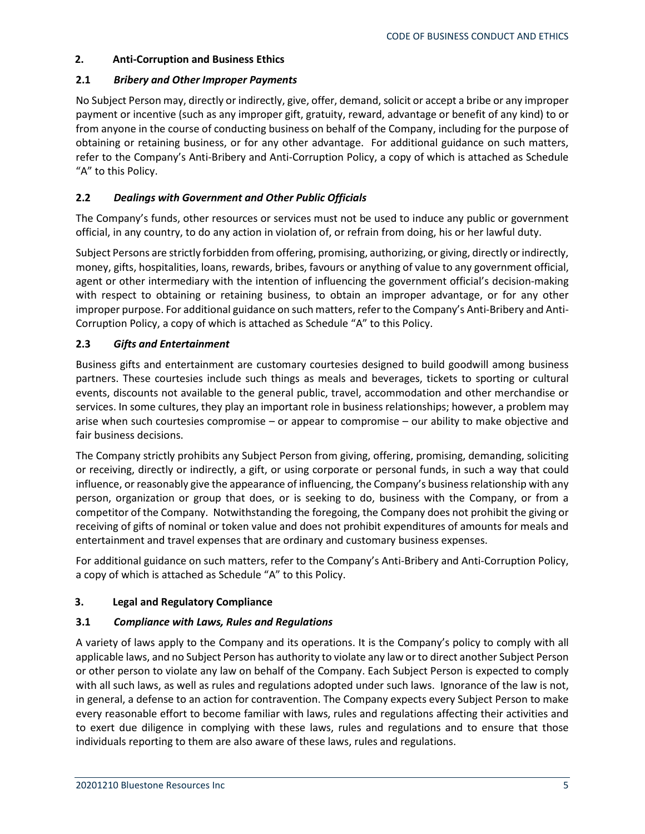## **2. Anti-Corruption and Business Ethics**

### **2.1** *Bribery and Other Improper Payments*

No Subject Person may, directly or indirectly, give, offer, demand, solicit or accept a bribe or any improper payment or incentive (such as any improper gift, gratuity, reward, advantage or benefit of any kind) to or from anyone in the course of conducting business on behalf of the Company, including for the purpose of obtaining or retaining business, or for any other advantage. For additional guidance on such matters, refer to the Company's Anti-Bribery and Anti-Corruption Policy, a copy of which is attached as Schedule "A" to this Policy.

## **2.2** *Dealings with Government and Other Public Officials*

The Company's funds, other resources or services must not be used to induce any public or government official, in any country, to do any action in violation of, or refrain from doing, his or her lawful duty.

Subject Persons are strictly forbidden from offering, promising, authorizing, or giving, directly or indirectly, money, gifts, hospitalities, loans, rewards, bribes, favours or anything of value to any government official, agent or other intermediary with the intention of influencing the government official's decision-making with respect to obtaining or retaining business, to obtain an improper advantage, or for any other improper purpose. For additional guidance on such matters, refer to the Company's Anti-Bribery and Anti-Corruption Policy, a copy of which is attached as Schedule "A" to this Policy.

## **2.3** *Gifts and Entertainment*

Business gifts and entertainment are customary courtesies designed to build goodwill among business partners. These courtesies include such things as meals and beverages, tickets to sporting or cultural events, discounts not available to the general public, travel, accommodation and other merchandise or services. In some cultures, they play an important role in business relationships; however, a problem may arise when such courtesies compromise – or appear to compromise – our ability to make objective and fair business decisions.

The Company strictly prohibits any Subject Person from giving, offering, promising, demanding, soliciting or receiving, directly or indirectly, a gift, or using corporate or personal funds, in such a way that could influence, or reasonably give the appearance of influencing, the Company's business relationship with any person, organization or group that does, or is seeking to do, business with the Company, or from a competitor of the Company. Notwithstanding the foregoing, the Company does not prohibit the giving or receiving of gifts of nominal or token value and does not prohibit expenditures of amounts for meals and entertainment and travel expenses that are ordinary and customary business expenses.

For additional guidance on such matters, refer to the Company's Anti-Bribery and Anti-Corruption Policy, a copy of which is attached as Schedule "A" to this Policy.

### **3. Legal and Regulatory Compliance**

### **3.1** *Compliance with Laws, Rules and Regulations*

A variety of laws apply to the Company and its operations. It is the Company's policy to comply with all applicable laws, and no Subject Person has authority to violate any law or to direct another Subject Person or other person to violate any law on behalf of the Company. Each Subject Person is expected to comply with all such laws, as well as rules and regulations adopted under such laws. Ignorance of the law is not, in general, a defense to an action for contravention. The Company expects every Subject Person to make every reasonable effort to become familiar with laws, rules and regulations affecting their activities and to exert due diligence in complying with these laws, rules and regulations and to ensure that those individuals reporting to them are also aware of these laws, rules and regulations.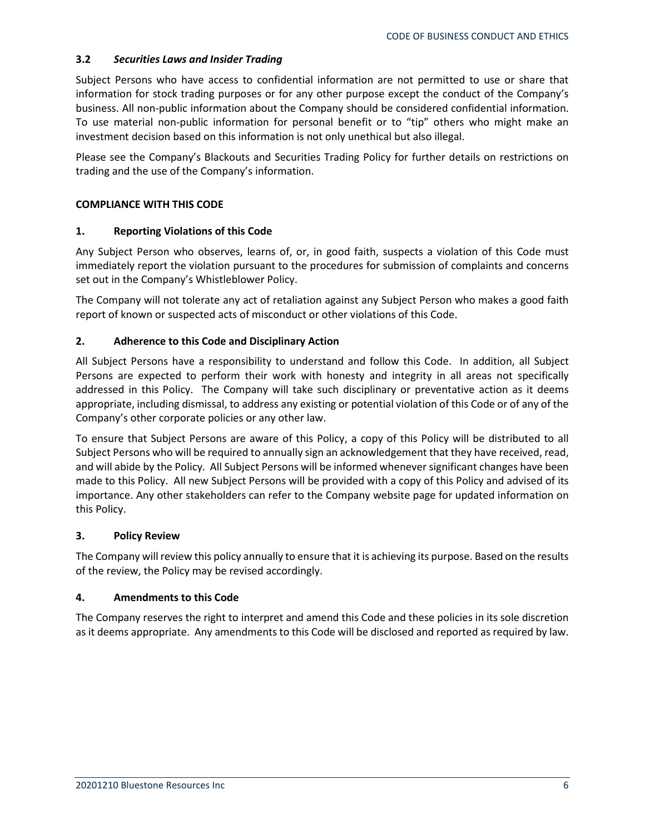## **3.2** *Securities Laws and Insider Trading*

Subject Persons who have access to confidential information are not permitted to use or share that information for stock trading purposes or for any other purpose except the conduct of the Company's business. All non-public information about the Company should be considered confidential information. To use material non-public information for personal benefit or to "tip" others who might make an investment decision based on this information is not only unethical but also illegal.

Please see the Company's Blackouts and Securities Trading Policy for further details on restrictions on trading and the use of the Company's information.

#### **COMPLIANCE WITH THIS CODE**

#### **1. Reporting Violations of this Code**

Any Subject Person who observes, learns of, or, in good faith, suspects a violation of this Code must immediately report the violation pursuant to the procedures for submission of complaints and concerns set out in the Company's Whistleblower Policy.

The Company will not tolerate any act of retaliation against any Subject Person who makes a good faith report of known or suspected acts of misconduct or other violations of this Code.

### **2. Adherence to this Code and Disciplinary Action**

All Subject Persons have a responsibility to understand and follow this Code. In addition, all Subject Persons are expected to perform their work with honesty and integrity in all areas not specifically addressed in this Policy. The Company will take such disciplinary or preventative action as it deems appropriate, including dismissal, to address any existing or potential violation of this Code or of any of the Company's other corporate policies or any other law.

To ensure that Subject Persons are aware of this Policy, a copy of this Policy will be distributed to all Subject Persons who will be required to annually sign an acknowledgement that they have received, read, and will abide by the Policy. All Subject Persons will be informed whenever significant changes have been made to this Policy. All new Subject Persons will be provided with a copy of this Policy and advised of its importance. Any other stakeholders can refer to the Company website page for updated information on this Policy.

### **3. Policy Review**

The Company will review this policy annually to ensure that it is achieving its purpose. Based on the results of the review, the Policy may be revised accordingly.

### **4. Amendments to this Code**

The Company reserves the right to interpret and amend this Code and these policies in its sole discretion as it deems appropriate. Any amendments to this Code will be disclosed and reported as required by law.